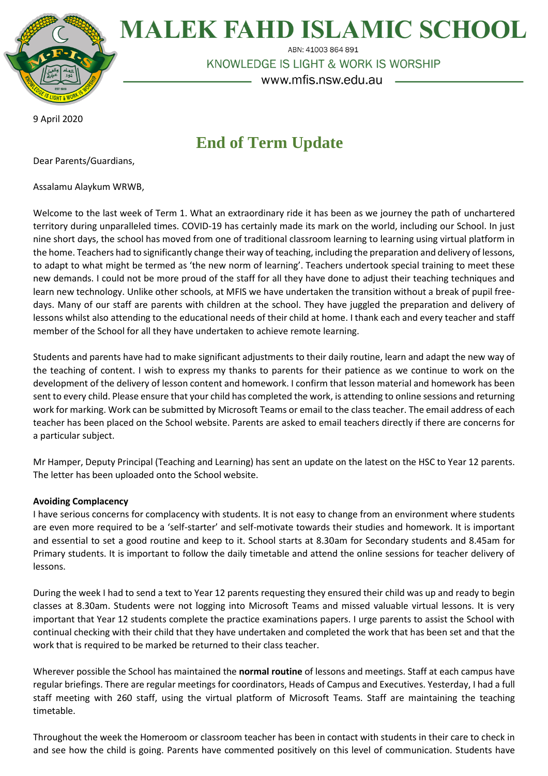

**MALEK FAHD ISLAMIC SCHOOL** 

ABN: 41003 864 891

KNOWLEDGE IS LIGHT & WORK IS WORSHIP

www.mfis.nsw.edu.au

9 April 2020

# **End of Term Update**

Dear Parents/Guardians,

Assalamu Alaykum WRWB,

Welcome to the last week of Term 1. What an extraordinary ride it has been as we journey the path of unchartered territory during unparalleled times. COVID-19 has certainly made its mark on the world, including our School. In just nine short days, the school has moved from one of traditional classroom learning to learning using virtual platform in the home. Teachers had to significantly change their way of teaching, including the preparation and delivery of lessons, to adapt to what might be termed as 'the new norm of learning'. Teachers undertook special training to meet these new demands. I could not be more proud of the staff for all they have done to adjust their teaching techniques and learn new technology. Unlike other schools, at MFIS we have undertaken the transition without a break of pupil freedays. Many of our staff are parents with children at the school. They have juggled the preparation and delivery of lessons whilst also attending to the educational needs of their child at home. I thank each and every teacher and staff member of the School for all they have undertaken to achieve remote learning.

Students and parents have had to make significant adjustments to their daily routine, learn and adapt the new way of the teaching of content. I wish to express my thanks to parents for their patience as we continue to work on the development of the delivery of lesson content and homework. I confirm that lesson material and homework has been sent to every child. Please ensure that your child has completed the work, is attending to online sessions and returning work for marking. Work can be submitted by Microsoft Teams or email to the class teacher. The email address of each teacher has been placed on the School website. Parents are asked to email teachers directly if there are concerns for a particular subject.

Mr Hamper, Deputy Principal (Teaching and Learning) has sent an update on the latest on the HSC to Year 12 parents. The letter has been uploaded onto the School website.

# **Avoiding Complacency**

I have serious concerns for complacency with students. It is not easy to change from an environment where students are even more required to be a 'self-starter' and self-motivate towards their studies and homework. It is important and essential to set a good routine and keep to it. School starts at 8.30am for Secondary students and 8.45am for Primary students. It is important to follow the daily timetable and attend the online sessions for teacher delivery of lessons.

During the week I had to send a text to Year 12 parents requesting they ensured their child was up and ready to begin classes at 8.30am. Students were not logging into Microsoft Teams and missed valuable virtual lessons. It is very important that Year 12 students complete the practice examinations papers. I urge parents to assist the School with continual checking with their child that they have undertaken and completed the work that has been set and that the work that is required to be marked be returned to their class teacher.

Wherever possible the School has maintained the **normal routine** of lessons and meetings. Staff at each campus have regular briefings. There are regular meetings for coordinators, Heads of Campus and Executives. Yesterday, I had a full staff meeting with 260 staff, using the virtual platform of Microsoft Teams. Staff are maintaining the teaching timetable.

Throughout the week the Homeroom or classroom teacher has been in contact with students in their care to check in and see how the child is going. Parents have commented positively on this level of communication. Students have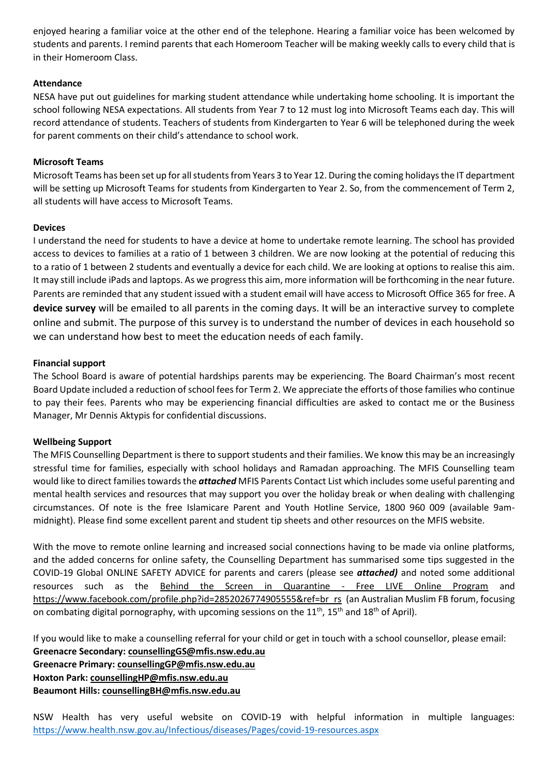enjoyed hearing a familiar voice at the other end of the telephone. Hearing a familiar voice has been welcomed by students and parents. I remind parents that each Homeroom Teacher will be making weekly calls to every child that is in their Homeroom Class.

## **Attendance**

NESA have put out guidelines for marking student attendance while undertaking home schooling. It is important the school following NESA expectations. All students from Year 7 to 12 must log into Microsoft Teams each day. This will record attendance of students. Teachers of students from Kindergarten to Year 6 will be telephoned during the week for parent comments on their child's attendance to school work.

### **Microsoft Teams**

Microsoft Teams has been set up for all students from Years 3 to Year 12. During the coming holidays the IT department will be setting up Microsoft Teams for students from Kindergarten to Year 2. So, from the commencement of Term 2, all students will have access to Microsoft Teams.

### **Devices**

I understand the need for students to have a device at home to undertake remote learning. The school has provided access to devices to families at a ratio of 1 between 3 children. We are now looking at the potential of reducing this to a ratio of 1 between 2 students and eventually a device for each child. We are looking at options to realise this aim. It may still include iPads and laptops. As we progress this aim, more information will be forthcoming in the near future. Parents are reminded that any student issued with a student email will have access to Microsoft Office 365 for free. A **device survey** will be emailed to all parents in the coming days. It will be an interactive survey to complete online and submit. The purpose of this survey is to understand the number of devices in each household so we can understand how best to meet the education needs of each family.

#### **Financial support**

The School Board is aware of potential hardships parents may be experiencing. The Board Chairman's most recent Board Update included a reduction of school fees for Term 2. We appreciate the efforts of those families who continue to pay their fees. Parents who may be experiencing financial difficulties are asked to contact me or the Business Manager, Mr Dennis Aktypis for confidential discussions.

#### **Wellbeing Support**

The MFIS Counselling Department is there to support students and their families. We know this may be an increasingly stressful time for families, especially with school holidays and Ramadan approaching. The MFIS Counselling team would like to direct families towards the *attached* MFIS Parents Contact List which includes some useful parenting and mental health services and resources that may support you over the holiday break or when dealing with challenging circumstances. Of note is the free Islamicare Parent and Youth Hotline Service, 1800 960 009 (available 9ammidnight). Please find some excellent parent and student tip sheets and other resources on the MFIS website.

With the move to remote online learning and increased social connections having to be made via online platforms, and the added concerns for online safety, the Counselling Department has summarised some tips suggested in the COVID-19 Global ONLINE SAFETY ADVICE for parents and carers (please see *attached)* and noted some additional resources such as the [Behind the Screen in Quarantine -](https://www.facebook.com/profile.php?id=2852026774905555&ref=br_rs) Free LIVE Online Program and [https://www.facebook.com/profile.php?id=2852026774905555&ref=br\\_rs](https://www.facebook.com/profile.php?id=2852026774905555&ref=br_rs) (an Australian Muslim FB forum, focusing on combating digital pornography, with upcoming sessions on the  $11^{th}$ ,  $15^{th}$  and  $18^{th}$  of April).

If you would like to make a counselling referral for your child or get in touch with a school counsellor, please email: **Greenacre Secondary: [counsellingGS@mfis.nsw.edu.au](mailto:counsellingGS@mfis.nsw.edu.au) Greenacre Primary: [counsellingGP@mfis.nsw.edu.au](mailto:counsellingGP@mfis.nsw.edu.au)**

**Hoxton Park: [counsellingHP@mfis.nsw.edu.au](mailto:counsellingHP@mfis.nsw.edu.au)**

**Beaumont Hills: [counsellingBH@mfis.nsw.edu.au](mailto:counsellingBH@mfis.nsw.edu.au)**

NSW Health has very useful website on COVID-19 with helpful information in multiple languages: <https://www.health.nsw.gov.au/Infectious/diseases/Pages/covid-19-resources.aspx>